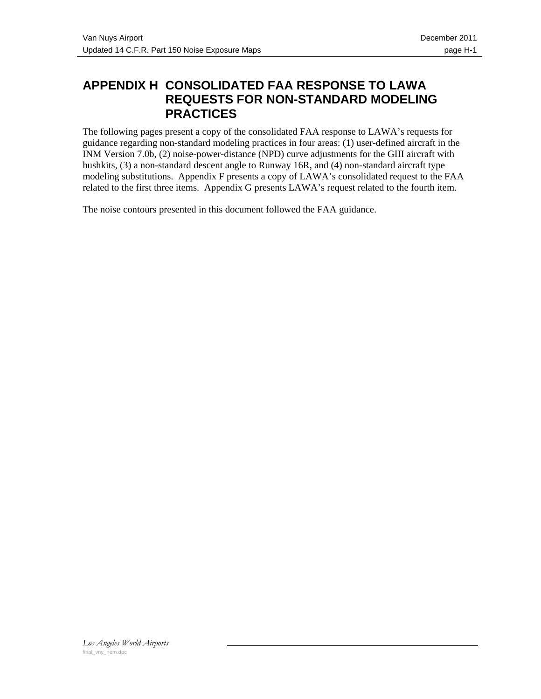## **APPENDIX H CONSOLIDATED FAA RESPONSE TO LAWA REQUESTS FOR NON-STANDARD MODELING PRACTICES**

The following pages present a copy of the consolidated FAA response to LAWA's requests for guidance regarding non-standard modeling practices in four areas: (1) user-defined aircraft in the INM Version 7.0b, (2) noise-power-distance (NPD) curve adjustments for the GIII aircraft with hushkits, (3) a non-standard descent angle to Runway 16R, and (4) non-standard aircraft type modeling substitutions. Appendix F presents a copy of LAWA's consolidated request to the FAA related to the first three items. Appendix G presents LAWA's request related to the fourth item.

The noise contours presented in this document followed the FAA guidance.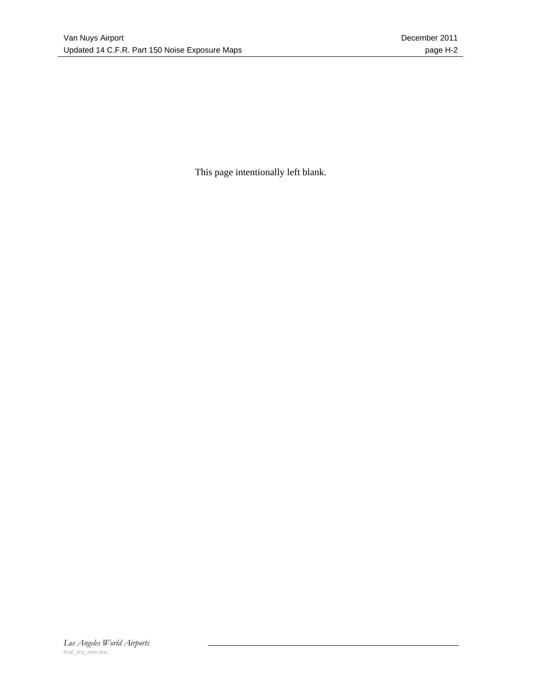This page intentionally left blank.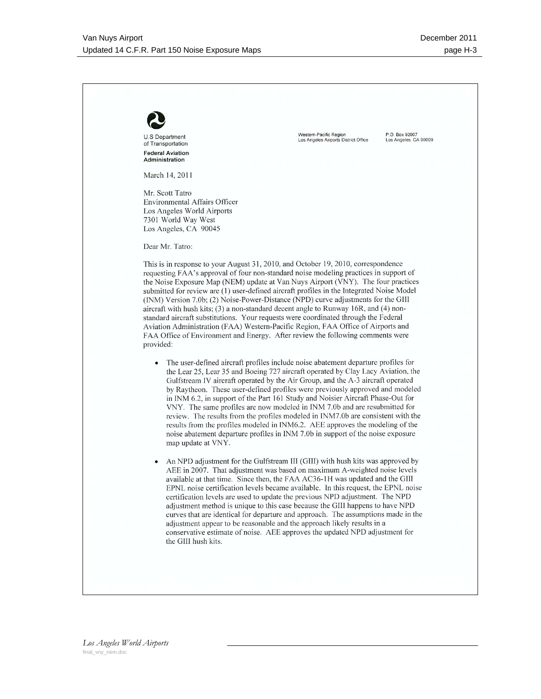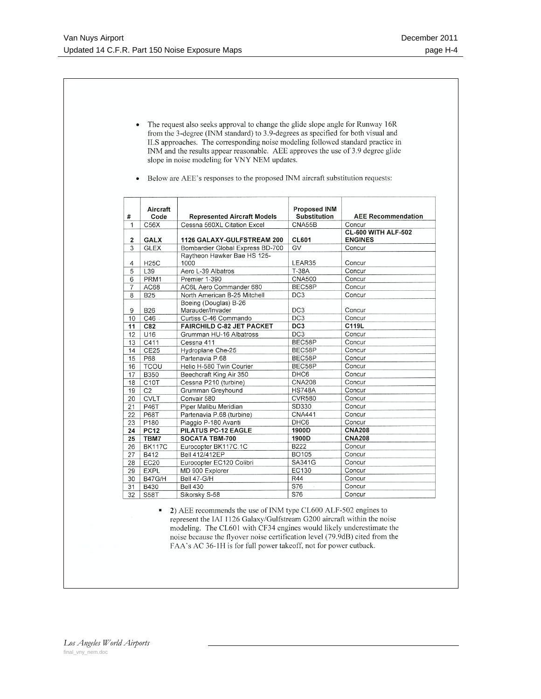- The request also seeks approval to change the glide slope angle for Runway 16R  $\bullet$ from the 3-degree (INM standard) to 3.9-degrees as specified for both visual and ILS approaches. The corresponding noise modeling followed standard practice in INM and the results appear reasonable. AEE approves the use of 3.9 degree glide slope in noise modeling for VNY NEM updates.
- Below are AEE's responses to the proposed INM aircraft substitution requests:  $\bullet$

| #              | Aircraft<br>Code | <b>Represented Aircraft Models</b>        | <b>Proposed INM</b><br><b>Substitution</b> | <b>AEE Recommendation</b>                    |
|----------------|------------------|-------------------------------------------|--------------------------------------------|----------------------------------------------|
| 1              | C56X             | Cessna 560XL Citation Excel               | CNA55B                                     | Concur                                       |
| 2              | <b>GALX</b>      | 1126 GALAXY-GULFSTREAM 200                | <b>CL601</b>                               | <b>CL-600 WITH ALF-502</b><br><b>ENGINES</b> |
| 3              | <b>GLEX</b>      | Bombardier Global Express BD-700          | GV                                         | Concur                                       |
|                |                  | Ravtheon Hawker Bae HS 125-               |                                            |                                              |
| $\overline{4}$ | <b>H25C</b>      | 1000                                      | LEAR35                                     | Concur                                       |
| 5              | L39              | Aero L-39 Albatros                        | $T-38A$                                    | Concur                                       |
| 6              | PRM1             | Premier 1-390                             | <b>CNA500</b>                              | Concur                                       |
| $\overline{7}$ | AC68             | AC6L Aero Commander 680                   | BEC58P                                     | Concur                                       |
| 8              | <b>B25</b>       | North American B-25 Mitchell              | DC <sub>3</sub>                            | Concur                                       |
| 9              | <b>B26</b>       | Boeing (Douglas) B-26<br>Marauder/Invader | DC <sub>3</sub>                            | Concur                                       |
| 10             | C46              | Curtiss C-46 Commando                     | DC <sub>3</sub>                            | Concur                                       |
| 11             | C82              | <b>FAIRCHILD C-82 JET PACKET</b>          | DC3                                        | C119L                                        |
| 12             | U16              | Grumman HU-16 Albatross                   | DC <sub>3</sub>                            | Concur                                       |
| 13             | C411             | Cessna 411                                | BEC58P                                     | Concur                                       |
| 14             | <b>CE25</b>      | Hydroplane Che-25                         | BEC58P                                     | Concur                                       |
| 15             | P68              | Partenavia P.68                           | BEC58P                                     | Concur                                       |
| 16             | <b>TCOU</b>      | Helio H-580 Twin Courier                  | BEC58P                                     | Concur                                       |
| 17             | <b>B350</b>      | Beechcraft King Air 350                   | DHC6                                       | Concur                                       |
| 18             | C10T             | Cessna P210 (turbine)                     | <b>CNA208</b>                              | Concur                                       |
| 19             | C <sub>2</sub>   | Grumman Greyhound                         | <b>HS748A</b>                              | Concur                                       |
| 20             | <b>CVLT</b>      | Convair 580                               | <b>CVR580</b>                              | Concur                                       |
| 21             | <b>P46T</b>      | Piper Malibu Meridian                     | SD330                                      | Concur                                       |
| 22             | <b>P68T</b>      | Partenavia P.68 (turbine)                 | <b>CNA441</b>                              | Concur                                       |
| 23             | P180             | Piaggio P-180 Avanti                      | DHC6                                       | Concur                                       |
| 24             | <b>PC12</b>      | PILATUS PC-12 EAGLE                       | 1900D                                      | <b>CNA208</b>                                |
| 25             | TBM7             | SOCATA TBM-700                            | 1900D                                      | <b>CNA208</b>                                |
| 26             | <b>BK117C</b>    | Eurocopter BK117C.1C                      | <b>B222</b>                                | Concur                                       |
| 27             | B412             | Bell 412/412EP                            | <b>BO105</b>                               | Concur                                       |
| 28             | <b>EC20</b>      | Eurocopter EC120 Colibri                  | <b>SA341G</b>                              | Concur                                       |
| 29             | <b>EXPL</b>      | MD 900 Explorer                           | EC130                                      | Concur                                       |
| 30             | B47G/H           | Bell 47-G/H                               | <b>R44</b>                                 | Concur                                       |
| 31             | B430             | <b>Bell 430</b>                           | S76                                        | Concur                                       |
| 32             | <b>S58T</b>      | Sikorsky S-58                             | S76                                        | Concur                                       |

2) AEE recommends the use of INM type CL600 ALF-502 engines to ٠ represent the IAI 1126 Galaxy/Gulfstream G200 aircraft within the noise modeling. The CL601 with CF34 engines would likely underestimate the noise because the flyover noise certification level (79.9dB) cited from the FAA's AC 36-1H is for full power takeoff, not for power cutback.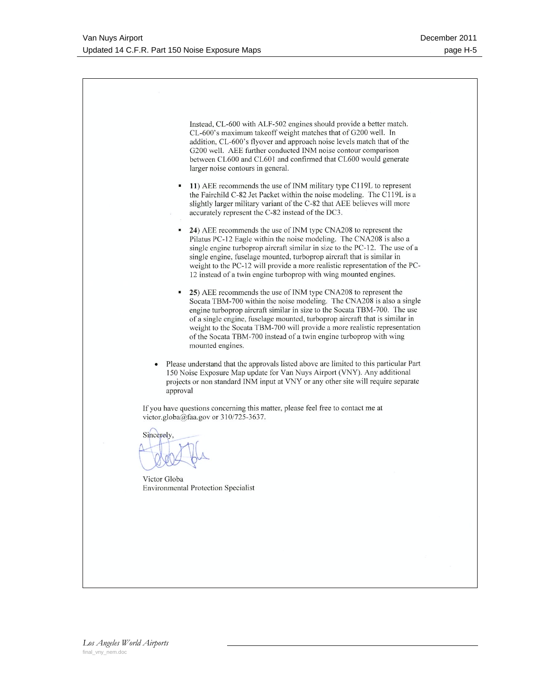Instead, CL-600 with ALF-502 engines should provide a better match. CL-600's maximum takeoff weight matches that of G200 well. In addition, CL-600's flyover and approach noise levels match that of the G200 well. AEE further conducted INM noise contour comparison between CL600 and CL601 and confirmed that CL600 would generate larger noise contours in general. 11) AEE recommends the use of INM military type C119L to represent the Fairchild C-82 Jet Packet within the noise modeling. The C119L is a slightly larger military variant of the C-82 that AEE believes will more accurately represent the C-82 instead of the DC3. 24) AEE recommends the use of INM type CNA208 to represent the Pilatus PC-12 Eagle within the noise modeling. The CNA208 is also a single engine turboprop aircraft similar in size to the PC-12. The use of a single engine, fuselage mounted, turboprop aircraft that is similar in weight to the PC-12 will provide a more realistic representation of the PC-12 instead of a twin engine turboprop with wing mounted engines. 25) AEE recommends the use of INM type CNA208 to represent the Socata TBM-700 within the noise modeling. The CNA208 is also a single engine turboprop aircraft similar in size to the Socata TBM-700. The use of a single engine, fuselage mounted, turboprop aircraft that is similar in weight to the Socata TBM-700 will provide a more realistic representation of the Socata TBM-700 instead of a twin engine turboprop with wing mounted engines. Please understand that the approvals listed above are limited to this particular Part 150 Noise Exposure Map update for Van Nuys Airport (VNY). Any additional projects or non standard INM input at VNY or any other site will require separate approval If you have questions concerning this matter, please feel free to contact me at victor.globa@faa.gov or 310/725-3637. Sincerely, Victor Globa **Environmental Protection Specialist**